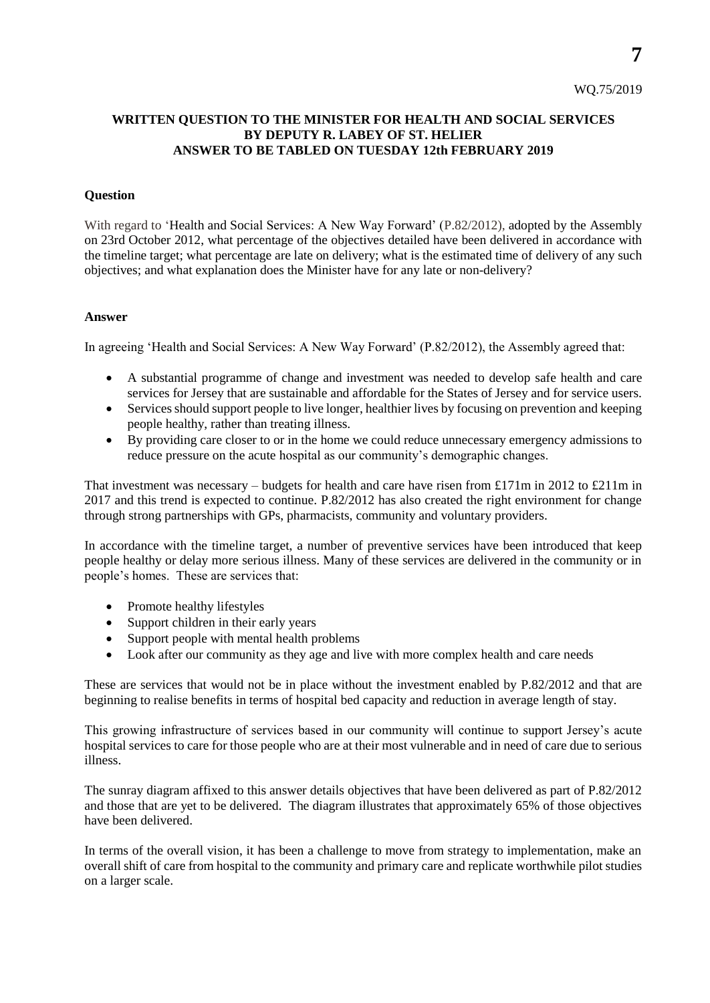### **WRITTEN QUESTION TO THE MINISTER FOR HEALTH AND SOCIAL SERVICES BY DEPUTY R. LABEY OF ST. HELIER ANSWER TO BE TABLED ON TUESDAY 12th FEBRUARY 2019**

#### **Question**

With regard to 'Health and Social Services: A New Way Forward' (P.82/2012), adopted by the Assembly on 23rd October 2012, what percentage of the objectives detailed have been delivered in accordance with the timeline target; what percentage are late on delivery; what is the estimated time of delivery of any such objectives; and what explanation does the Minister have for any late or non-delivery?

#### **Answer**

In agreeing 'Health and Social Services: A New Way Forward' (P.82/2012), the Assembly agreed that:

- A substantial programme of change and investment was needed to develop safe health and care services for Jersey that are sustainable and affordable for the States of Jersey and for service users.
- Services should support people to live longer, healthier lives by focusing on prevention and keeping people healthy, rather than treating illness.
- By providing care closer to or in the home we could reduce unnecessary emergency admissions to reduce pressure on the acute hospital as our community's demographic changes.

That investment was necessary – budgets for health and care have risen from £171m in 2012 to £211m in 2017 and this trend is expected to continue. P.82/2012 has also created the right environment for change through strong partnerships with GPs, pharmacists, community and voluntary providers.

In accordance with the timeline target, a number of preventive services have been introduced that keep people healthy or delay more serious illness. Many of these services are delivered in the community or in people's homes. These are services that:

- Promote healthy lifestyles
- Support children in their early years
- Support people with mental health problems
- Look after our community as they age and live with more complex health and care needs

These are services that would not be in place without the investment enabled by P.82/2012 and that are beginning to realise benefits in terms of hospital bed capacity and reduction in average length of stay.

This growing infrastructure of services based in our community will continue to support Jersey's acute hospital services to care for those people who are at their most vulnerable and in need of care due to serious illness.

The sunray diagram affixed to this answer details objectives that have been delivered as part of P.82/2012 and those that are yet to be delivered. The diagram illustrates that approximately 65% of those objectives have been delivered.

In terms of the overall vision, it has been a challenge to move from strategy to implementation, make an overall shift of care from hospital to the community and primary care and replicate worthwhile pilot studies on a larger scale.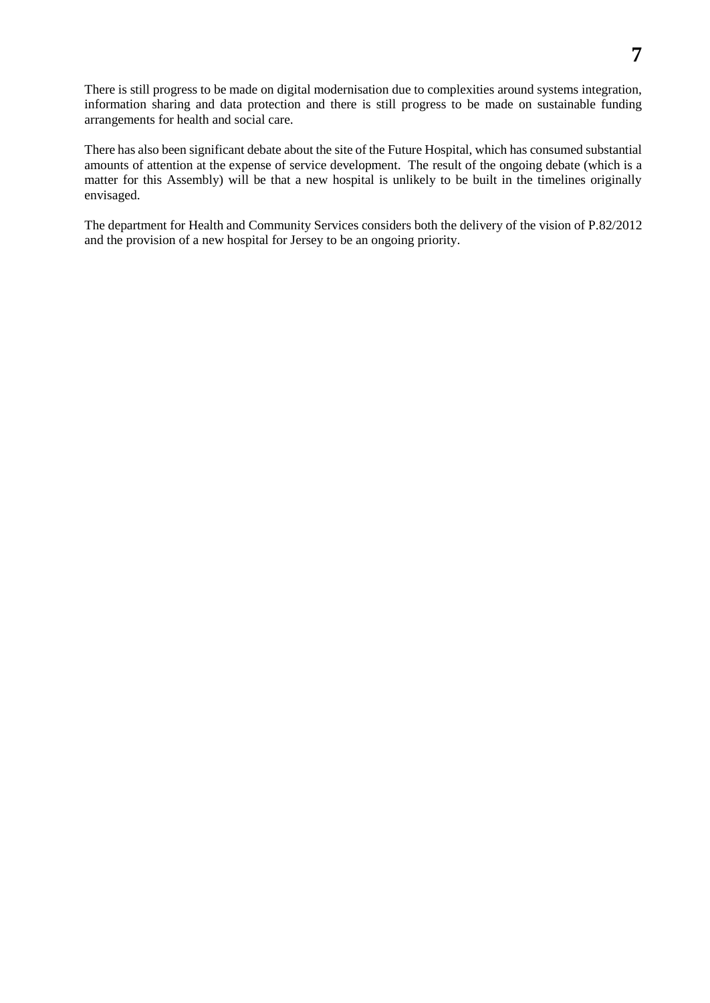There is still progress to be made on digital modernisation due to complexities around systems integration, information sharing and data protection and there is still progress to be made on sustainable funding arrangements for health and social care.

There has also been significant debate about the site of the Future Hospital, which has consumed substantial amounts of attention at the expense of service development. The result of the ongoing debate (which is a matter for this Assembly) will be that a new hospital is unlikely to be built in the timelines originally envisaged.

The department for Health and Community Services considers both the delivery of the vision of P.82/2012 and the provision of a new hospital for Jersey to be an ongoing priority.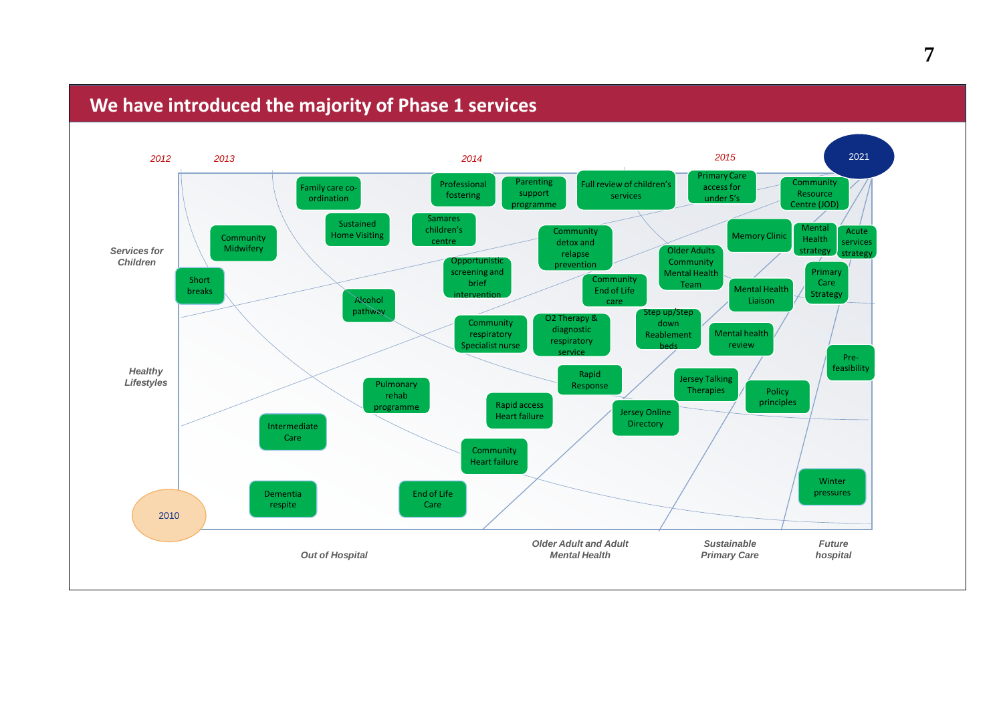## **We have introduced the majority of Phase 1 services**